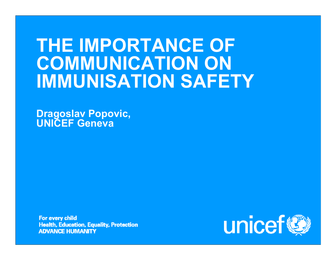#### **THE IMPORTANCE OF COMMUNICATION ON IMMUNISATION SAFETY**

**Dragoslav Popovic, UNICEF Geneva**

**For every child Health, Education, Equality, Protection ADVANCE HUMANITY** 

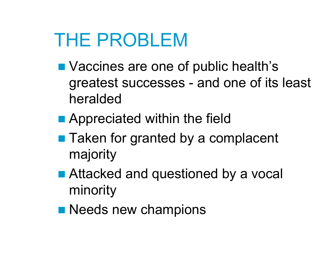## THE PROBLEM

- Vaccines are one of public health's greatest successes - and one of its least heralded
- **Appreciated within the field**
- Taken for granted by a complacent majority
- Attacked and questioned by a vocal minority
- **Needs new champions**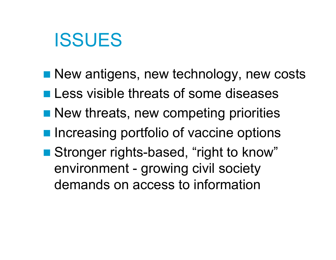#### ISSUES

- New antigens, new technology, new costs
- **Less visible threats of some diseases**
- **New threats, new competing priorities**
- **Increasing portfolio of vaccine options**
- Stronger rights-based, "right to know" environment - growing civil society demands on access to information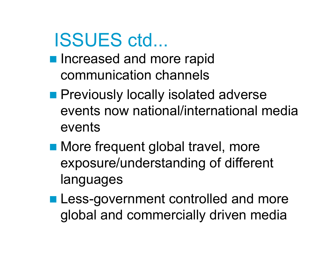## ISSUES ctd...

- **Increased and more rapid** communication channels
- **Previously locally isolated adverse** events now national/international media events
- More frequent global travel, more exposure/understanding of different languages
- **Less-government controlled and more** global and commercially driven media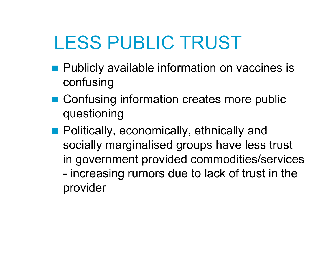## LESS PUBLIC TRUST

- **Publicly available information on vaccines is** confusing
- Confusing information creates more public questioning
- Politically, economically, ethnically and socially marginalised groups have less trust in government provided commodities/services increasing rumors due to lack of trust in the provider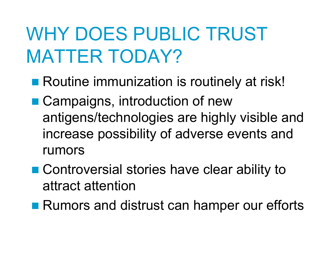# WHY DOES PUBLIC TRUST MATTER TODAY?

- Routine immunization is routinely at risk!
- Campaigns, introduction of new antigens/technologies are highly visible and increase possibility of adverse events and rumors
- Controversial stories have clear ability to attract attention
- Rumors and distrust can hamper our efforts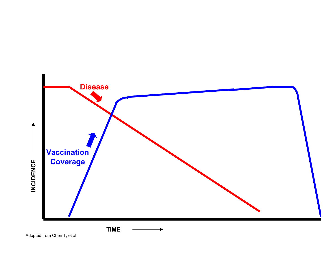

Adopted from Chen T, et al.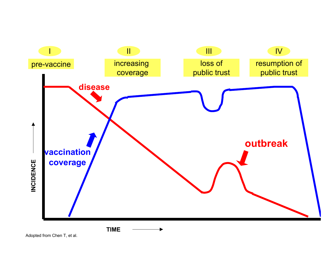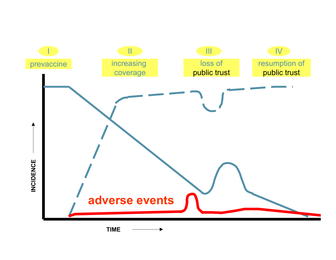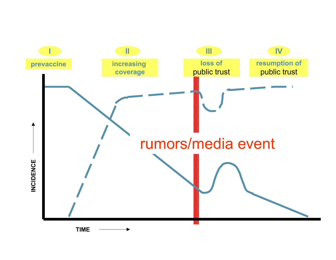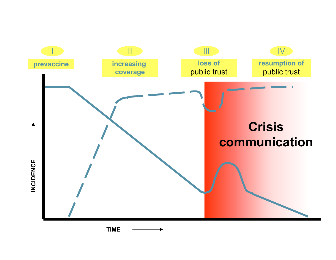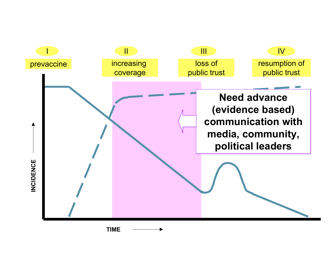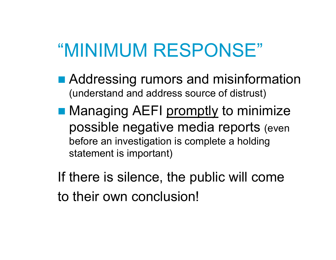#### "MINIMUM RESPONSE"

- Addressing rumors and misinformation (understand and address source of distrust)
- Managing AEFI promptly to minimize possible negative media reports (even before an investigation is complete a holding statement is important)

If there is silence, the public will come to their own conclusion!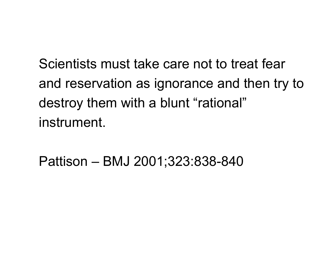Scientists must take care not to treat fear and reservation as ignorance and then try to destroy them with a blunt "rational" instrument.

Pattison –BMJ 2001;323:838-840